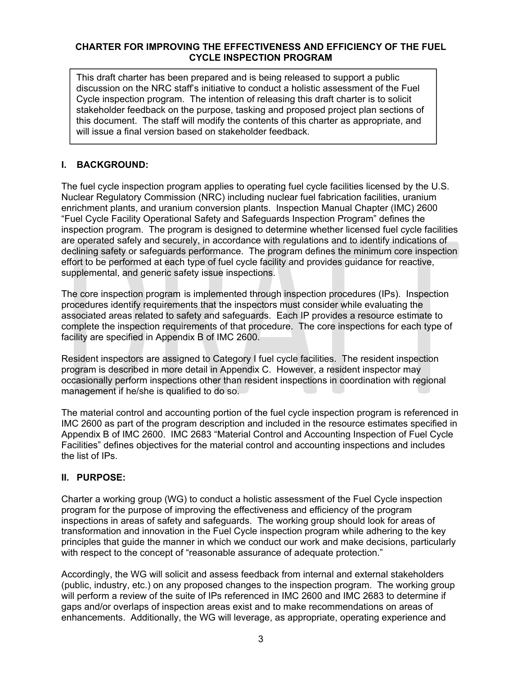#### **CHARTER FOR IMPROVING THE EFFECTIVENESS AND EFFICIENCY OF THE FUEL CYCLE INSPECTION PROGRAM**

This draft charter has been prepared and is being released to support a public discussion on the NRC staff's initiative to conduct a holistic assessment of the Fuel Cycle inspection program. The intention of releasing this draft charter is to solicit stakeholder feedback on the purpose, tasking and proposed project plan sections of this document. The staff will modify the contents of this charter as appropriate, and will issue a final version based on stakeholder feedback.

# **I. BACKGROUND:**

The fuel cycle inspection program applies to operating fuel cycle facilities licensed by the U.S. Nuclear Regulatory Commission (NRC) including nuclear fuel fabrication facilities, uranium enrichment plants, and uranium conversion plants. Inspection Manual Chapter (IMC) 2600 "Fuel Cycle Facility Operational Safety and Safeguards Inspection Program" defines the inspection program. The program is designed to determine whether licensed fuel cycle facilities are operated safely and securely, in accordance with regulations and to identify indications of declining safety or safeguards performance. The program defines the minimum core inspection effort to be performed at each type of fuel cycle facility and provides guidance for reactive, supplemental, and generic safety issue inspections.

The core inspection program is implemented through inspection procedures (IPs). Inspection procedures identify requirements that the inspectors must consider while evaluating the associated areas related to safety and safeguards. Each IP provides a resource estimate to complete the inspection requirements of that procedure. The core inspections for each type of facility are specified in Appendix B of IMC 2600.

Resident inspectors are assigned to Category I fuel cycle facilities. The resident inspection program is described in more detail in Appendix C. However, a resident inspector may occasionally perform inspections other than resident inspections in coordination with regional management if he/she is qualified to do so.

The material control and accounting portion of the fuel cycle inspection program is referenced in IMC 2600 as part of the program description and included in the resource estimates specified in Appendix B of IMC 2600. IMC 2683 "Material Control and Accounting Inspection of Fuel Cycle Facilities" defines objectives for the material control and accounting inspections and includes the list of IPs.

## **II. PURPOSE:**

Charter a working group (WG) to conduct a holistic assessment of the Fuel Cycle inspection program for the purpose of improving the effectiveness and efficiency of the program inspections in areas of safety and safeguards. The working group should look for areas of transformation and innovation in the Fuel Cycle inspection program while adhering to the key principles that guide the manner in which we conduct our work and make decisions, particularly with respect to the concept of "reasonable assurance of adequate protection."

Accordingly, the WG will solicit and assess feedback from internal and external stakeholders (public, industry, etc.) on any proposed changes to the inspection program. The working group will perform a review of the suite of IPs referenced in IMC 2600 and IMC 2683 to determine if gaps and/or overlaps of inspection areas exist and to make recommendations on areas of enhancements. Additionally, the WG will leverage, as appropriate, operating experience and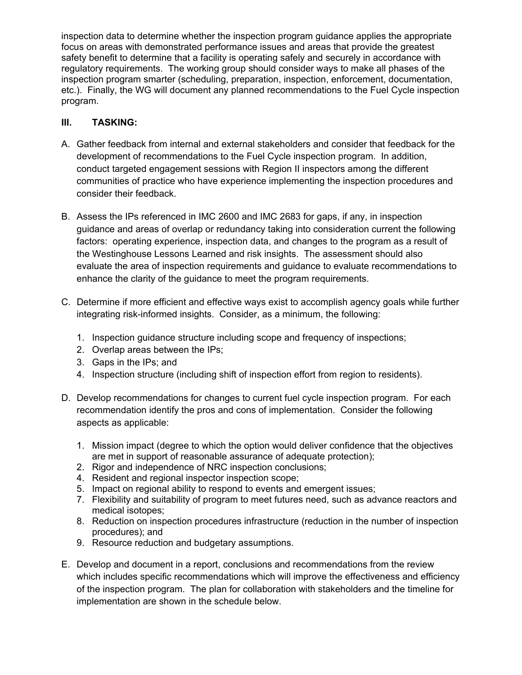inspection data to determine whether the inspection program guidance applies the appropriate focus on areas with demonstrated performance issues and areas that provide the greatest safety benefit to determine that a facility is operating safely and securely in accordance with regulatory requirements. The working group should consider ways to make all phases of the inspection program smarter (scheduling, preparation, inspection, enforcement, documentation, etc.). Finally, the WG will document any planned recommendations to the Fuel Cycle inspection program.

# **III. TASKING:**

- A. Gather feedback from internal and external stakeholders and consider that feedback for the development of recommendations to the Fuel Cycle inspection program. In addition, conduct targeted engagement sessions with Region II inspectors among the different communities of practice who have experience implementing the inspection procedures and consider their feedback.
- B. Assess the IPs referenced in IMC 2600 and IMC 2683 for gaps, if any, in inspection guidance and areas of overlap or redundancy taking into consideration current the following factors: operating experience, inspection data, and changes to the program as a result of the Westinghouse Lessons Learned and risk insights. The assessment should also evaluate the area of inspection requirements and guidance to evaluate recommendations to enhance the clarity of the guidance to meet the program requirements.
- C. Determine if more efficient and effective ways exist to accomplish agency goals while further integrating risk-informed insights. Consider, as a minimum, the following:
	- 1. Inspection guidance structure including scope and frequency of inspections;
	- 2. Overlap areas between the IPs;
	- 3. Gaps in the IPs; and
	- 4. Inspection structure (including shift of inspection effort from region to residents).
- D. Develop recommendations for changes to current fuel cycle inspection program. For each recommendation identify the pros and cons of implementation. Consider the following aspects as applicable:
	- 1. Mission impact (degree to which the option would deliver confidence that the objectives are met in support of reasonable assurance of adequate protection);
	- 2. Rigor and independence of NRC inspection conclusions;
	- 4. Resident and regional inspector inspection scope;
	- 5. Impact on regional ability to respond to events and emergent issues;
	- 7. Flexibility and suitability of program to meet futures need, such as advance reactors and medical isotopes;
	- 8. Reduction on inspection procedures infrastructure (reduction in the number of inspection procedures); and
	- 9. Resource reduction and budgetary assumptions.
- E. Develop and document in a report, conclusions and recommendations from the review which includes specific recommendations which will improve the effectiveness and efficiency of the inspection program. The plan for collaboration with stakeholders and the timeline for implementation are shown in the schedule below.